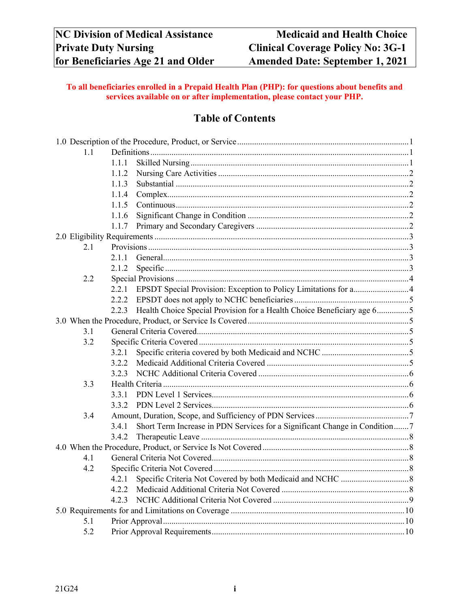## **To all beneficiaries enrolled in a Prepaid Health Plan (PHP): for questions about benefits and services available on or after implementation, please contact your PHP.**

# **Table of Contents**

| 1.1 |                                                                                     |  |
|-----|-------------------------------------------------------------------------------------|--|
|     | 1.1.1                                                                               |  |
|     | 1.1.2                                                                               |  |
|     | 1.1.3                                                                               |  |
|     | 1.1.4                                                                               |  |
|     | 1.1.5                                                                               |  |
|     | 1.1.6                                                                               |  |
|     | 1.1.7                                                                               |  |
|     |                                                                                     |  |
| 2.1 |                                                                                     |  |
|     | 2.1.1                                                                               |  |
|     | 2.1.2                                                                               |  |
| 2.2 |                                                                                     |  |
|     | 2.2.1                                                                               |  |
|     | 2.2.2                                                                               |  |
|     | Health Choice Special Provision for a Health Choice Beneficiary age 65<br>2.2.3     |  |
|     |                                                                                     |  |
| 3.1 |                                                                                     |  |
| 3.2 |                                                                                     |  |
|     | 3.2.1                                                                               |  |
|     | 3.2.2                                                                               |  |
|     | 3.2.3                                                                               |  |
| 3.3 |                                                                                     |  |
|     | 3.3.1                                                                               |  |
|     | 3.3.2                                                                               |  |
| 3.4 |                                                                                     |  |
|     | Short Term Increase in PDN Services for a Significant Change in Condition7<br>3.4.1 |  |
|     | 3.4.2                                                                               |  |
|     |                                                                                     |  |
| 4.1 |                                                                                     |  |
| 4.2 |                                                                                     |  |
|     | 4.2.1                                                                               |  |
|     | 4.2.2                                                                               |  |
|     | 4.2.3                                                                               |  |
|     |                                                                                     |  |
| 5.1 |                                                                                     |  |
| 5.2 |                                                                                     |  |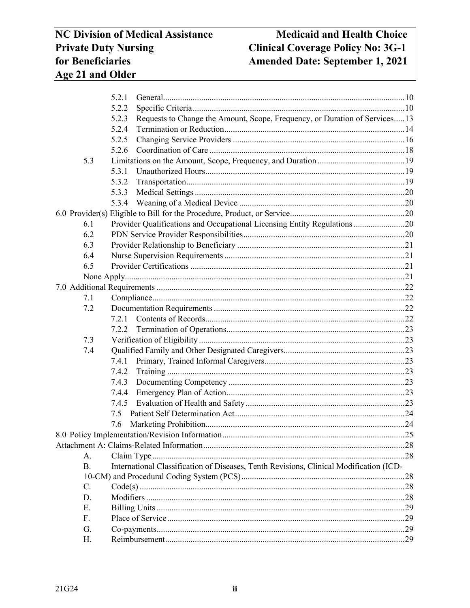# **Medicaid and Health Choice Clinical Coverage Policy No: 3G-1** Amended Date: September 1, 2021

|                | 5.2.1                                                                                  |  |  |
|----------------|----------------------------------------------------------------------------------------|--|--|
|                | 5.2.2                                                                                  |  |  |
|                | Requests to Change the Amount, Scope, Frequency, or Duration of Services13<br>5.2.3    |  |  |
|                | 5.2.4                                                                                  |  |  |
|                | 5.2.5                                                                                  |  |  |
|                | 5.2.6                                                                                  |  |  |
| 5.3            |                                                                                        |  |  |
|                | 5.3.1                                                                                  |  |  |
|                | 5.3.2                                                                                  |  |  |
|                | 5.3.3                                                                                  |  |  |
|                | 5.3.4                                                                                  |  |  |
|                |                                                                                        |  |  |
| 6.1            | Provider Qualifications and Occupational Licensing Entity Regulations 20               |  |  |
| 6.2            |                                                                                        |  |  |
| 6.3            |                                                                                        |  |  |
| 6.4            |                                                                                        |  |  |
| 6.5            |                                                                                        |  |  |
|                |                                                                                        |  |  |
|                |                                                                                        |  |  |
| 7.1            |                                                                                        |  |  |
| 7.2            |                                                                                        |  |  |
|                | 7.2.1                                                                                  |  |  |
|                | 7.2.2                                                                                  |  |  |
| 7.3            |                                                                                        |  |  |
| 7.4            |                                                                                        |  |  |
|                | 7.4.1                                                                                  |  |  |
|                | 7.4.2                                                                                  |  |  |
|                | 7.4.3                                                                                  |  |  |
|                | 7.4.4                                                                                  |  |  |
|                | 7.4.5                                                                                  |  |  |
|                | 7.5                                                                                    |  |  |
|                | 7.6                                                                                    |  |  |
|                |                                                                                        |  |  |
|                |                                                                                        |  |  |
| A.             |                                                                                        |  |  |
| $\mathbf{B}$ . | International Classification of Diseases, Tenth Revisions, Clinical Modification (ICD- |  |  |
|                |                                                                                        |  |  |
| C.             |                                                                                        |  |  |
| D.             |                                                                                        |  |  |
| E.             |                                                                                        |  |  |
| F.             |                                                                                        |  |  |
| G.             |                                                                                        |  |  |
| Η.             |                                                                                        |  |  |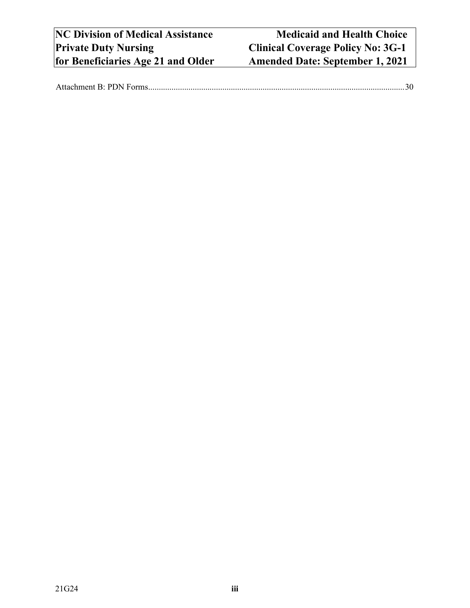|--|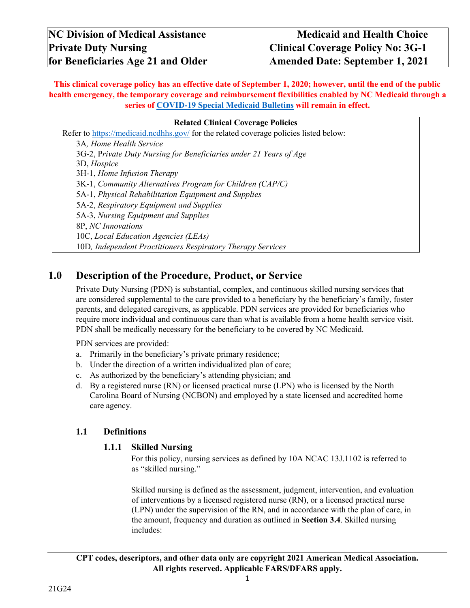**This clinical coverage policy has an effective date of September 1, 2020; however, until the end of the public health emergency, the temporary coverage and reimbursement flexibilities enabled by NC Medicaid through a series of [COVID-19 Special Medicaid Bulletins](https://medicaid.ncdhhs.gov/about-us/covid-19-guidance-and-resources/providers/covid-19-special-medicaid-bulletins) will remain in effect.**

#### **Related Clinical Coverage Policies**

Refer to<https://medicaid.ncdhhs.gov/> for the related coverage policies listed below: 3A*, Home Health Service* 3G-2, P*rivate Duty Nursing for Beneficiaries under 21 Years of Age*  3D, *Hospice*  3H-1, *Home Infusion Therapy*  3K-1, *Community Alternatives Program for Children (CAP/C)*  5A-1, *Physical Rehabilitation Equipment and Supplies* 5A-2, *Respiratory Equipment and Supplies* 5A-3, *Nursing Equipment and Supplies* 8P, *NC Innovations*  10C, *Local Education Agencies (LEAs)* 10D*, Independent Practitioners Respiratory Therapy Services* 

## <span id="page-4-0"></span>**1.0 Description of the Procedure, Product, or Service**

Private Duty Nursing (PDN) is substantial, complex, and continuous skilled nursing services that are considered supplemental to the care provided to a beneficiary by the beneficiary's family, foster parents, and delegated caregivers, as applicable. PDN services are provided for beneficiaries who require more individual and continuous care than what is available from a home health service visit. PDN shall be medically necessary for the beneficiary to be covered by NC Medicaid.

PDN services are provided:

- a. Primarily in the beneficiary's private primary residence;
- b. Under the direction of a written individualized plan of care;
- c. As authorized by the beneficiary's attending physician; and
- d. By a registered nurse (RN) or licensed practical nurse (LPN) who is licensed by the North Carolina Board of Nursing (NCBON) and employed by a state licensed and accredited home care agency.

#### <span id="page-4-2"></span><span id="page-4-1"></span>**1.1 Definitions**

#### **1.1.1 Skilled Nursing**

For this policy, nursing services as defined by 10A NCAC 13J.1102 is referred to as "skilled nursing."

Skilled nursing is defined as the assessment, judgment, intervention, and evaluation of interventions by a licensed registered nurse (RN), or a licensed practical nurse (LPN) under the supervision of the RN, and in accordance with the plan of care, in the amount, frequency and duration as outlined in **Section 3.4**. Skilled nursing includes:

**CPT codes, descriptors, and other data only are copyright 2021 American Medical Association. All rights reserved. Applicable FARS/DFARS apply.**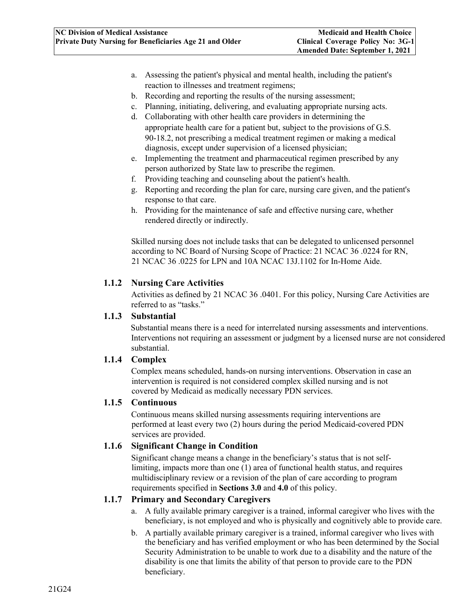- a. Assessing the patient's physical and mental health, including the patient's reaction to illnesses and treatment regimens;
- b. Recording and reporting the results of the nursing assessment;
- c. Planning, initiating, delivering, and evaluating appropriate nursing acts.
- d. Collaborating with other health care providers in determining the appropriate health care for a patient but, subject to the provisions of G.S. 90-18.2, not prescribing a medical treatment regimen or making a medical diagnosis, except under supervision of a licensed physician;
- e. Implementing the treatment and pharmaceutical regimen prescribed by any person authorized by State law to prescribe the regimen.
- f. Providing teaching and counseling about the patient's health.
- g. Reporting and recording the plan for care, nursing care given, and the patient's response to that care.
- h. Providing for the maintenance of safe and effective nursing care, whether rendered directly or indirectly.

Skilled nursing does not include tasks that can be delegated to unlicensed personnel according to NC Board of Nursing Scope of Practice: 21 NCAC 36 .0224 for RN, 21 NCAC 36 .0225 for LPN and 10A NCAC 13J.1102 for In-Home Aide.

#### <span id="page-5-0"></span>**1.1.2 Nursing Care Activities**

Activities as defined by 21 NCAC 36 .0401. For this policy, Nursing Care Activities are referred to as "tasks."

#### <span id="page-5-1"></span>**1.1.3 Substantial**

Substantial means there is a need for interrelated nursing assessments and interventions. Interventions not requiring an assessment or judgment by a licensed nurse are not considered substantial.

#### <span id="page-5-2"></span>**1.1.4 Complex**

Complex means scheduled, hands-on nursing interventions. Observation in case an intervention is required is not considered complex skilled nursing and is not covered by Medicaid as medically necessary PDN services.

#### <span id="page-5-3"></span>**1.1.5 Continuous**

Continuous means skilled nursing assessments requiring interventions are performed at least every two (2) hours during the period Medicaid-covered PDN services are provided.

#### <span id="page-5-4"></span>**1.1.6 Significant Change in Condition**

Significant change means a change in the beneficiary's status that is not selflimiting, impacts more than one (1) area of functional health status, and requires multidisciplinary review or a revision of the plan of care according to program requirements specified in **Sections 3.0** and **4.0** of this policy.

#### <span id="page-5-5"></span>**1.1.7 Primary and Secondary Caregivers**

- a. A fully available primary caregiver is a trained, informal caregiver who lives with the beneficiary, is not employed and who is physically and cognitively able to provide care.
- b. A partially available primary caregiver is a trained, informal caregiver who lives with the beneficiary and has verified employment or who has been determined by the Social Security Administration to be unable to work due to a disability and the nature of the disability is one that limits the ability of that person to provide care to the PDN beneficiary.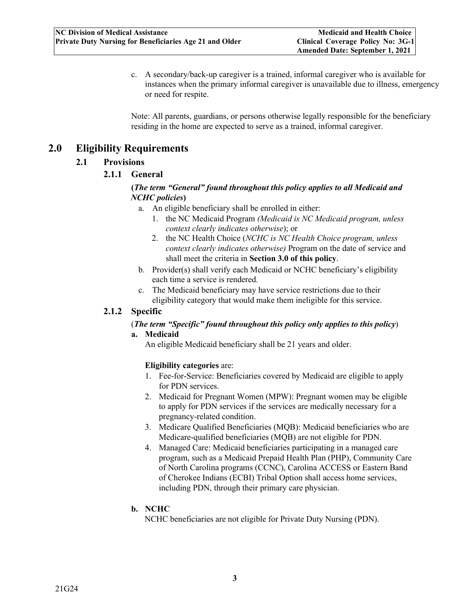c. A secondary/back-up caregiver is a trained, informal caregiver who is available for instances when the primary informal caregiver is unavailable due to illness, emergency or need for respite.

Note: All parents, guardians, or persons otherwise legally responsible for the beneficiary residing in the home are expected to serve as a trained, informal caregiver.

## <span id="page-6-2"></span><span id="page-6-1"></span><span id="page-6-0"></span>**2.0 Eligibility Requirements**

## **2.1 Provisions**

#### **2.1.1 General**

#### **(***The term "General" found throughout this policy applies to all Medicaid and NCHC policies***)**

- a. An eligible beneficiary shall be enrolled in either:
	- 1. the NC Medicaid Program *(Medicaid is NC Medicaid program, unless context clearly indicates otherwise*); or
	- 2. the NC Health Choice (*NCHC is NC Health Choice program, unless context clearly indicates otherwise)* Program on the date of service and shall meet the criteria in **Section 3.0 of this policy**.
- b. Provider(s) shall verify each Medicaid or NCHC beneficiary's eligibility each time a service is rendered.
- c. The Medicaid beneficiary may have service restrictions due to their eligibility category that would make them ineligible for this service.

#### <span id="page-6-3"></span>**2.1.2 Specific**

#### (*The term "Specific" found throughout this policy only applies to this policy*)

#### **a. Medicaid**

An eligible Medicaid beneficiary shall be 21 years and older.

#### **Eligibility categories** are:

- 1. Fee-for-Service: Beneficiaries covered by Medicaid are eligible to apply for PDN services.
- 2. Medicaid for Pregnant Women (MPW): Pregnant women may be eligible to apply for PDN services if the services are medically necessary for a pregnancy-related condition.
- 3. Medicare Qualified Beneficiaries (MQB): Medicaid beneficiaries who are Medicare-qualified beneficiaries (MQB) are not eligible for PDN.
- 4. Managed Care: Medicaid beneficiaries participating in a managed care program, such as a Medicaid Prepaid Health Plan (PHP), Community Care of North Carolina programs (CCNC), Carolina ACCESS or Eastern Band of Cherokee Indians (ECBI) Tribal Option shall access home services, including PDN, through their primary care physician.

#### **b. NCHC**

NCHC beneficiaries are not eligible for Private Duty Nursing (PDN).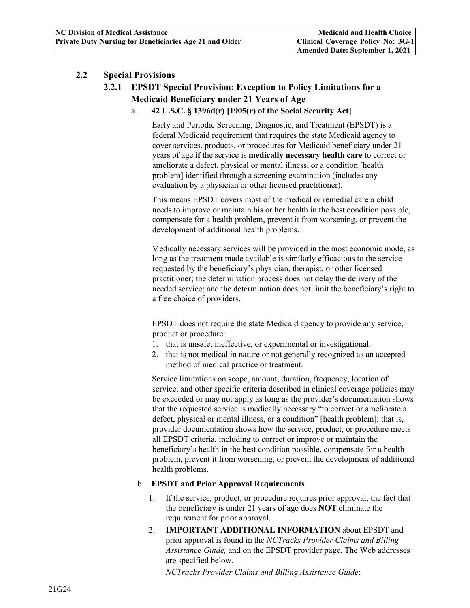#### <span id="page-7-1"></span><span id="page-7-0"></span>**2.2 Special Provisions**

## **2.2.1 EPSDT Special Provision: Exception to Policy Limitations for a Medicaid Beneficiary under 21 Years of Age**

a. **42 U.S.C. § 1396d(r) [1905(r) of the Social Security Act]** 

Early and Periodic Screening, Diagnostic, and Treatment (EPSDT) is a federal Medicaid requirement that requires the state Medicaid agency to cover services, products, or procedures for Medicaid beneficiary under 21 years of age **if** the service is **medically necessary health care** to correct or ameliorate a defect, physical or mental illness, or a condition [health problem] identified through a screening examination (includes any evaluation by a physician or other licensed practitioner).

This means EPSDT covers most of the medical or remedial care a child needs to improve or maintain his or her health in the best condition possible, compensate for a health problem, prevent it from worsening, or prevent the development of additional health problems.

Medically necessary services will be provided in the most economic mode, as long as the treatment made available is similarly efficacious to the service requested by the beneficiary's physician, therapist, or other licensed practitioner; the determination process does not delay the delivery of the needed service; and the determination does not limit the beneficiary's right to a free choice of providers.

EPSDT does not require the state Medicaid agency to provide any service, product or procedure:

- 1. that is unsafe, ineffective, or experimental or investigational.
- 2. that is not medical in nature or not generally recognized as an accepted method of medical practice or treatment.

Service limitations on scope, amount, duration, frequency, location of service, and other specific criteria described in clinical coverage policies may be exceeded or may not apply as long as the provider's documentation shows that the requested service is medically necessary "to correct or ameliorate a defect, physical or mental illness, or a condition" [health problem]; that is, provider documentation shows how the service, product, or procedure meets all EPSDT criteria, including to correct or improve or maintain the beneficiary's health in the best condition possible, compensate for a health problem, prevent it from worsening, or prevent the development of additional health problems.

#### b. **EPSDT and Prior Approval Requirements**

- 1. If the service, product, or procedure requires prior approval, the fact that the beneficiary is under 21 years of age does **NOT** eliminate the requirement for prior approval.
- 2. **IMPORTANT ADDITIONAL INFORMATION** about EPSDT and prior approval is found in the *NCTracks Provider Claims and Billing Assistance Guide,* and on the EPSDT provider page. The Web addresses are specified below.

*NCTracks Provider Claims and Billing Assistance Guide*: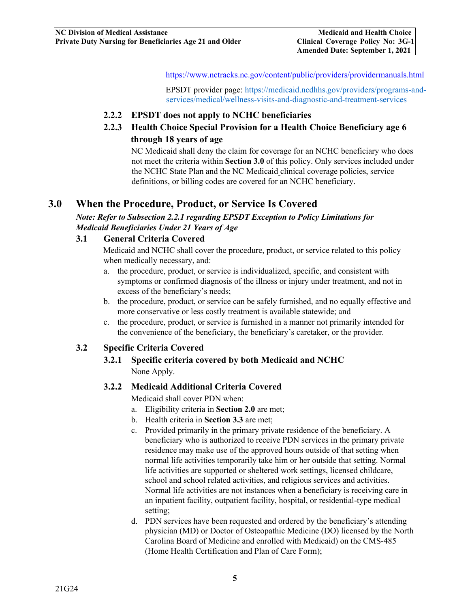[https://www.nctracks.nc.gov/content/public/providers/providermanuals.html](https://www.nctracks.nc.gov/content/public/providers/provider-manuals.html)

EPSDT provider page[:](file://10.52.235.160/Shared/AllUsers/ICS-Policy-Development/____All-Clinical-Coverage-Policies/3-Series/3G-1-PDN-21-Older/2020%20Telehealth/%20) [https://medicaid.ncdhhs.gov/providers/programs-and](https://medicaid.ncdhhs.gov/providers/programs-and-services/medical/wellness-visits-and-diagnostic-and-treatment-services)[services/medical/wellness-visits-and-diagnostic-and-treatment-services](https://medicaid.ncdhhs.gov/providers/programs-and-services/medical/wellness-visits-and-diagnostic-and-treatment-services)

#### <span id="page-8-0"></span>**2.2.2 EPSDT does not apply to NCHC beneficiaries**

<span id="page-8-1"></span>**2.2.3 Health Choice Special Provision for a Health Choice Beneficiary age 6 through 18 years of age** 

NC Medicaid shall deny the claim for coverage for an NCHC beneficiary who does not meet the criteria within **Section 3.0** of this policy. Only services included under the NCHC State Plan and the NC Medicaid clinical coverage policies, service definitions, or billing codes are covered for an NCHC beneficiary.

## <span id="page-8-2"></span>**3.0 When the Procedure, Product, or Service Is Covered**

*Note: Refer to Subsection 2.2.1 regarding EPSDT Exception to Policy Limitations for Medicaid Beneficiaries Under 21 Years of Age* 

#### <span id="page-8-3"></span>**3.1 General Criteria Covered**

Medicaid and NCHC shall cover the procedure, product, or service related to this policy when medically necessary, and:

- a. the procedure, product, or service is individualized, specific, and consistent with symptoms or confirmed diagnosis of the illness or injury under treatment, and not in excess of the beneficiary's needs;
- b. the procedure, product, or service can be safely furnished, and no equally effective and more conservative or less costly treatment is available statewide; and
- c. the procedure, product, or service is furnished in a manner not primarily intended for the convenience of the beneficiary, the beneficiary's caretaker, or the provider.

#### <span id="page-8-6"></span><span id="page-8-5"></span><span id="page-8-4"></span>**3.2 Specific Criteria Covered**

**3.2.1 Specific criteria covered by both Medicaid and NCHC**  None Apply.

#### **3.2.2 Medicaid Additional Criteria Covered**

Medicaid shall cover PDN when:

- a. Eligibility criteria in **Section 2.0** are met;
- b. Health criteria in **Section 3.3** are met;
- c. Provided primarily in the primary private residence of the beneficiary. A beneficiary who is authorized to receive PDN services in the primary private residence may make use of the approved hours outside of that setting when normal life activities temporarily take him or her outside that setting. Normal life activities are supported or sheltered work settings, licensed childcare, school and school related activities, and religious services and activities. Normal life activities are not instances when a beneficiary is receiving care in an inpatient facility, outpatient facility, hospital, or residential-type medical setting;
- d. PDN services have been requested and ordered by the beneficiary's attending physician (MD) or Doctor of Osteopathic Medicine (DO) licensed by the North Carolina Board of Medicine and enrolled with Medicaid) on the CMS-485 (Home Health Certification and Plan of Care Form);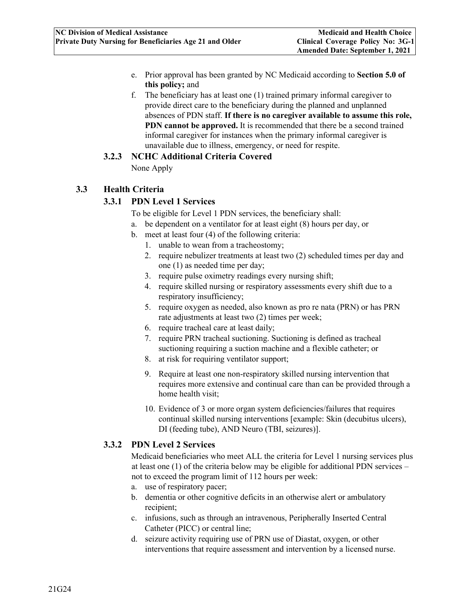- e. Prior approval has been granted by NC Medicaid according to **Section 5.0 of this policy;** and
- f. The beneficiary has at least one (1) trained primary informal caregiver to provide direct care to the beneficiary during the planned and unplanned absences of PDN staff. **If there is no caregiver available to assume this role, PDN cannot be approved.** It is recommended that there be a second trained informal caregiver for instances when the primary informal caregiver is unavailable due to illness, emergency, or need for respite.

#### **3.2.3 NCHC Additional Criteria Covered**

None Apply

## <span id="page-9-2"></span><span id="page-9-1"></span><span id="page-9-0"></span>**3.3 Health Criteria**

#### **3.3.1 PDN Level 1 Services**

- To be eligible for Level 1 PDN services, the beneficiary shall:
- a. be dependent on a ventilator for at least eight (8) hours per day, or
- b. meet at least four (4) of the following criteria:
	- 1. unable to wean from a tracheostomy;
	- 2. require nebulizer treatments at least two (2) scheduled times per day and one (1) as needed time per day;
	- 3. require pulse oximetry readings every nursing shift;
	- 4. require skilled nursing or respiratory assessments every shift due to a respiratory insufficiency;
	- 5. require oxygen as needed, also known as pro re nata (PRN) or has PRN rate adjustments at least two (2) times per week;
	- 6. require tracheal care at least daily;
	- 7. require PRN tracheal suctioning. Suctioning is defined as tracheal suctioning requiring a suction machine and a flexible catheter; or
	- 8. at risk for requiring ventilator support;
	- 9. Require at least one non-respiratory skilled nursing intervention that requires more extensive and continual care than can be provided through a home health visit;
	- 10. Evidence of 3 or more organ system deficiencies/failures that requires continual skilled nursing interventions [example: Skin (decubitus ulcers), DI (feeding tube), AND Neuro (TBI, seizures)].

#### <span id="page-9-3"></span>**3.3.2 PDN Level 2 Services**

Medicaid beneficiaries who meet ALL the criteria for Level 1 nursing services plus at least one (1) of the criteria below may be eligible for additional PDN services – not to exceed the program limit of 112 hours per week:

- a. use of respiratory pacer;
- b. dementia or other cognitive deficits in an otherwise alert or ambulatory recipient;
- c. infusions, such as through an intravenous, Peripherally Inserted Central Catheter (PICC) or central line;
- d. seizure activity requiring use of PRN use of Diastat, oxygen, or other interventions that require assessment and intervention by a licensed nurse.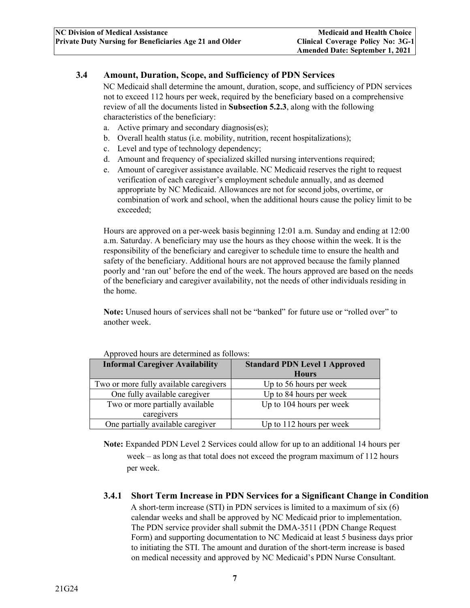#### <span id="page-10-0"></span>**3.4 Amount, Duration, Scope, and Sufficiency of PDN Services**

NC Medicaid shall determine the amount, duration, scope, and sufficiency of PDN services not to exceed 112 hours per week, required by the beneficiary based on a comprehensive review of all the documents listed in **Subsection 5.2.3**, along with the following characteristics of the beneficiary:

- a. Active primary and secondary diagnosis(es);
- b. Overall health status (i.e. mobility, nutrition, recent hospitalizations);
- c. Level and type of technology dependency;
- d. Amount and frequency of specialized skilled nursing interventions required;
- e. Amount of caregiver assistance available. NC Medicaid reserves the right to request verification of each caregiver's employment schedule annually, and as deemed appropriate by NC Medicaid. Allowances are not for second jobs, overtime, or combination of work and school, when the additional hours cause the policy limit to be exceeded;

Hours are approved on a per-week basis beginning 12:01 a.m. Sunday and ending at 12:00 a.m. Saturday. A beneficiary may use the hours as they choose within the week. It is the responsibility of the beneficiary and caregiver to schedule time to ensure the health and safety of the beneficiary. Additional hours are not approved because the family planned poorly and 'ran out' before the end of the week. The hours approved are based on the needs of the beneficiary and caregiver availability, not the needs of other individuals residing in the home.

**Note:** Unused hours of services shall not be "banked" for future use or "rolled over" to another week.

| <b>Informal Caregiver Availability</b> | <b>Standard PDN Level 1 Approved</b><br><b>Hours</b> |
|----------------------------------------|------------------------------------------------------|
| Two or more fully available caregivers | Up to 56 hours per week                              |
| One fully available caregiver          | Up to 84 hours per week                              |
| Two or more partially available        | Up to 104 hours per week                             |
| caregivers                             |                                                      |
| One partially available caregiver      | Up to $112$ hours per week                           |

Approved hours are determined as follows:

**Note:** Expanded PDN Level 2 Services could allow for up to an additional 14 hours per week – as long as that total does not exceed the program maximum of 112 hours per week.

## <span id="page-10-1"></span>**3.4.1 Short Term Increase in PDN Services for a Significant Change in Condition**

A short-term increase (STI) in PDN services is limited to a maximum of six (6) calendar weeks and shall be approved by NC Medicaid prior to implementation. The PDN service provider shall submit the DMA-3511 (PDN Change Request Form) and supporting documentation to NC Medicaid at least 5 business days prior to initiating the STI. The amount and duration of the short-term increase is based on medical necessity and approved by NC Medicaid's PDN Nurse Consultant.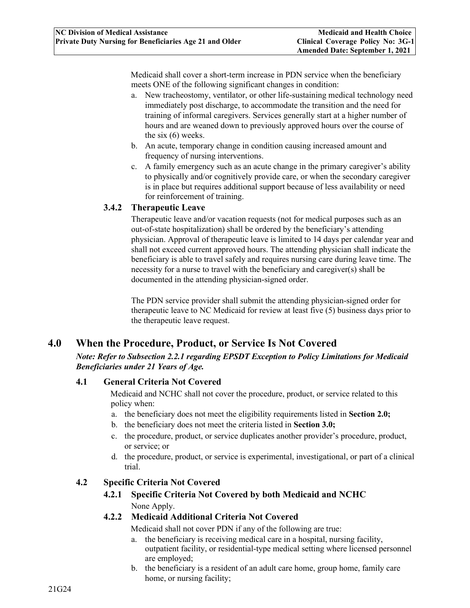Medicaid shall cover a short-term increase in PDN service when the beneficiary meets ONE of the following significant changes in condition:

- a. New tracheostomy, ventilator, or other life-sustaining medical technology need immediately post discharge, to accommodate the transition and the need for training of informal caregivers. Services generally start at a higher number of hours and are weaned down to previously approved hours over the course of the six (6) weeks.
- b. An acute, temporary change in condition causing increased amount and frequency of nursing interventions.
- c. A family emergency such as an acute change in the primary caregiver's ability to physically and/or cognitively provide care, or when the secondary caregiver is in place but requires additional support because of less availability or need for reinforcement of training.

#### <span id="page-11-0"></span>**3.4.2 Therapeutic Leave**

Therapeutic leave and/or vacation requests (not for medical purposes such as an out-of-state hospitalization) shall be ordered by the beneficiary's attending physician. Approval of therapeutic leave is limited to 14 days per calendar year and shall not exceed current approved hours. The attending physician shall indicate the beneficiary is able to travel safely and requires nursing care during leave time. The necessity for a nurse to travel with the beneficiary and caregiver(s) shall be documented in the attending physician-signed order.

The PDN service provider shall submit the attending physician-signed order for therapeutic leave to NC Medicaid for review at least five (5) business days prior to the therapeutic leave request.

## <span id="page-11-1"></span>**4.0 When the Procedure, Product, or Service Is Not Covered**

*Note: Refer to Subsection 2.2.1 regarding EPSDT Exception to Policy Limitations for Medicaid Beneficiaries under 21 Years of Age.* 

#### <span id="page-11-2"></span>**4.1 General Criteria Not Covered**

Medicaid and NCHC shall not cover the procedure, product, or service related to this policy when:

- a. the beneficiary does not meet the eligibility requirements listed in **Section 2.0;**
- b. the beneficiary does not meet the criteria listed in **Section 3.0;**
- c. the procedure, product, or service duplicates another provider's procedure, product, or service; or
- d. the procedure, product, or service is experimental, investigational, or part of a clinical trial.

#### <span id="page-11-5"></span><span id="page-11-4"></span><span id="page-11-3"></span>**4.2 Specific Criteria Not Covered**

**4.2.1 Specific Criteria Not Covered by both Medicaid and NCHC**  None Apply.

## **4.2.2 Medicaid Additional Criteria Not Covered**

Medicaid shall not cover PDN if any of the following are true:

- a. the beneficiary is receiving medical care in a hospital, nursing facility, outpatient facility, or residential-type medical setting where licensed personnel are employed;
- b. the beneficiary is a resident of an adult care home, group home, family care home, or nursing facility;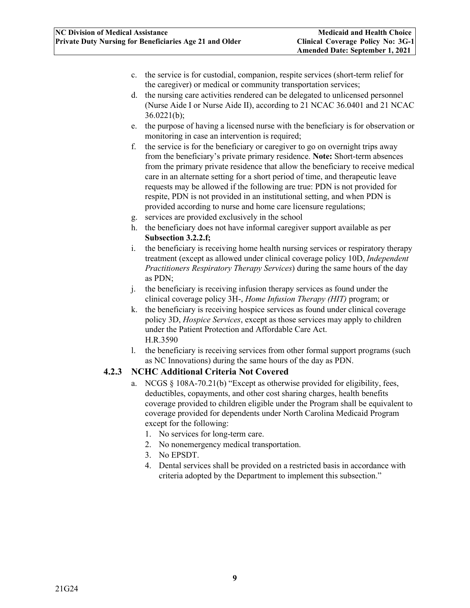- c. the service is for custodial, companion, respite services (short-term relief for the caregiver) or medical or community transportation services;
- d. the nursing care activities rendered can be delegated to unlicensed personnel (Nurse Aide I or Nurse Aide II), according to 21 NCAC 36.0401 and 21 NCAC  $36.0221(b);$
- e. the purpose of having a licensed nurse with the beneficiary is for observation or monitoring in case an intervention is required;
- f. the service is for the beneficiary or caregiver to go on overnight trips away from the beneficiary's private primary residence. **Note:** Short-term absences from the primary private residence that allow the beneficiary to receive medical care in an alternate setting for a short period of time, and therapeutic leave requests may be allowed if the following are true: PDN is not provided for respite, PDN is not provided in an institutional setting, and when PDN is provided according to nurse and home care licensure regulations;
- g. services are provided exclusively in the school
- h. the beneficiary does not have informal caregiver support available as per **Subsection 3.2.2.f;**
- i. the beneficiary is receiving home health nursing services or respiratory therapy treatment (except as allowed under clinical coverage policy 10D, *Independent Practitioners Respiratory Therapy Services*) during the same hours of the day as PDN;
- j. the beneficiary is receiving infusion therapy services as found under the clinical coverage policy 3H-, *Home Infusion Therapy (HIT)* program; or
- k. the beneficiary is receiving hospice services as found under clinical coverage policy 3D, *Hospice Services*, except as those services may apply to children under the Patient Protection and Affordable Care Act. H.R.3590
- l. the beneficiary is receiving services from other formal support programs (such as NC Innovations) during the same hours of the day as PDN.

## <span id="page-12-0"></span>**4.2.3 NCHC Additional Criteria Not Covered**

- a. NCGS  $\S$  108A-70.21(b) "Except as otherwise provided for eligibility, fees, deductibles, copayments, and other cost sharing charges, health benefits coverage provided to children eligible under the Program shall be equivalent to coverage provided for dependents under North Carolina Medicaid Program except for the following:
	- 1. No services for long-term care.
	- 2. No nonemergency medical transportation.
	- 3. No EPSDT.
	- 4. Dental services shall be provided on a restricted basis in accordance with criteria adopted by the Department to implement this subsection."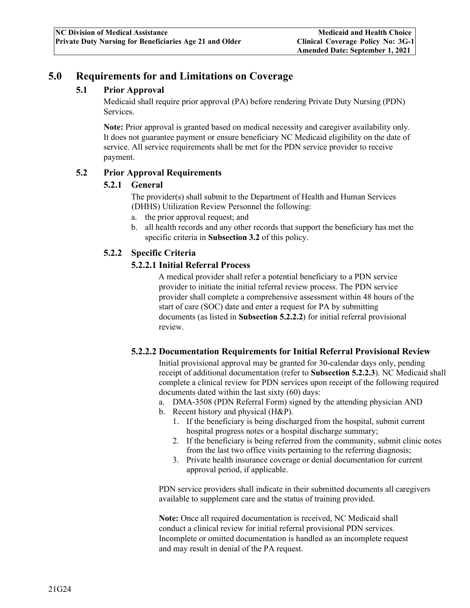## <span id="page-13-1"></span><span id="page-13-0"></span>**5.0 Requirements for and Limitations on Coverage**

#### **5.1 Prior Approval**

Medicaid shall require prior approval (PA) before rendering Private Duty Nursing (PDN) Services.

**Note:** Prior approval is granted based on medical necessity and caregiver availability only. It does not guarantee payment or ensure beneficiary NC Medicaid eligibility on the date of service. All service requirements shall be met for the PDN service provider to receive payment.

#### <span id="page-13-3"></span><span id="page-13-2"></span>**5.2 Prior Approval Requirements**

#### **5.2.1 General**

The provider(s) shall submit to the Department of Health and Human Services (DHHS) Utilization Review Personnel the following:

- a. the prior approval request; and
- b. all health records and any other records that support the beneficiary has met the specific criteria in **Subsection 3.2** of this policy.

#### <span id="page-13-4"></span>**5.2.2 Specific Criteria**

#### **5.2.2.1 Initial Referral Process**

A medical provider shall refer a potential beneficiary to a PDN service provider to initiate the initial referral review process. The PDN service provider shall complete a comprehensive assessment within 48 hours of the start of care (SOC) date and enter a request for PA by submitting documents (as listed in **Subsection 5.2.2.2**) for initial referral provisional review.

#### **5.2.2.2 Documentation Requirements for Initial Referral Provisional Review**

Initial provisional approval may be granted for 30-calendar days only, pending receipt of additional documentation (refer to **Subsection 5.2.2.3**). NC Medicaid shall complete a clinical review for PDN services upon receipt of the following required documents dated within the last sixty (60) days:

- a. DMA-3508 (PDN Referral Form) signed by the attending physician AND
- b. Recent history and physical (H&P).
	- 1. If the beneficiary is being discharged from the hospital, submit current hospital progress notes or a hospital discharge summary;
	- 2. If the beneficiary is being referred from the community, submit clinic notes from the last two office visits pertaining to the referring diagnosis;
	- 3. Private health insurance coverage or denial documentation for current approval period, if applicable.

PDN service providers shall indicate in their submitted documents all caregivers available to supplement care and the status of training provided.

**Note:** Once all required documentation is received, NC Medicaid shall conduct a clinical review for initial referral provisional PDN services. Incomplete or omitted documentation is handled as an incomplete request and may result in denial of the PA request.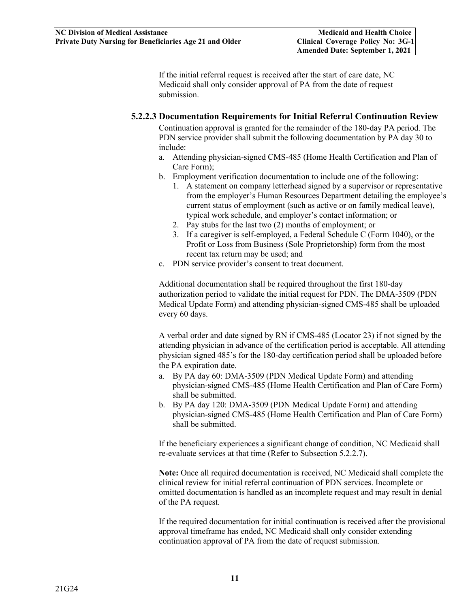If the initial referral request is received after the start of care date, NC Medicaid shall only consider approval of PA from the date of request submission.

#### **5.2.2.3 Documentation Requirements for Initial Referral Continuation Review**

Continuation approval is granted for the remainder of the 180-day PA period. The PDN service provider shall submit the following documentation by PA day 30 to include:

- a. Attending physician-signed CMS-485 (Home Health Certification and Plan of Care Form);
- b. Employment verification documentation to include one of the following:
	- 1. A statement on company letterhead signed by a supervisor or representative from the employer's Human Resources Department detailing the employee's current status of employment (such as active or on family medical leave), typical work schedule, and employer's contact information; or
	- 2. Pay stubs for the last two (2) months of employment; or
	- 3. If a caregiver is self-employed, a Federal Schedule C (Form 1040), or the Profit or Loss from Business (Sole Proprietorship) form from the most recent tax return may be used; and
- c. PDN service provider's consent to treat document.

Additional documentation shall be required throughout the first 180-day authorization period to validate the initial request for PDN. The DMA-3509 (PDN Medical Update Form) and attending physician-signed CMS-485 shall be uploaded every 60 days.

A verbal order and date signed by RN if CMS-485 (Locator 23) if not signed by the attending physician in advance of the certification period is acceptable. All attending physician signed 485's for the 180-day certification period shall be uploaded before the PA expiration date.

- a. By PA day 60: DMA-3509 (PDN Medical Update Form) and attending physician-signed CMS-485 (Home Health Certification and Plan of Care Form) shall be submitted.
- b. By PA day 120: DMA-3509 (PDN Medical Update Form) and attending physician-signed CMS-485 (Home Health Certification and Plan of Care Form) shall be submitted.

If the beneficiary experiences a significant change of condition, NC Medicaid shall re-evaluate services at that time (Refer to Subsection 5.2.2.7).

**Note:** Once all required documentation is received, NC Medicaid shall complete the clinical review for initial referral continuation of PDN services. Incomplete or omitted documentation is handled as an incomplete request and may result in denial of the PA request.

If the required documentation for initial continuation is received after the provisional approval timeframe has ended, NC Medicaid shall only consider extending continuation approval of PA from the date of request submission.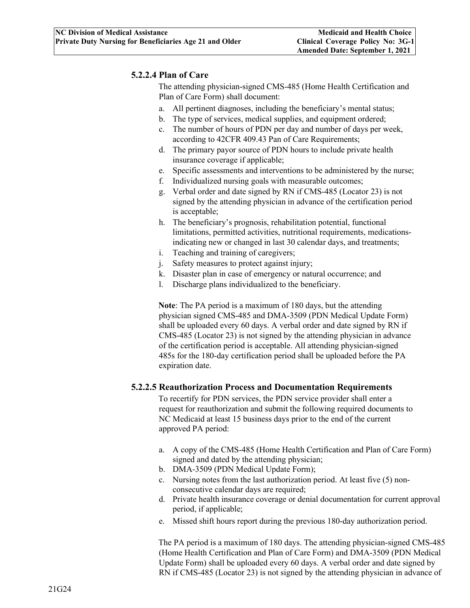#### **5.2.2.4 Plan of Care**

The attending physician-signed CMS-485 (Home Health Certification and Plan of Care Form) shall document:

- a. All pertinent diagnoses, including the beneficiary's mental status;
- b. The type of services, medical supplies, and equipment ordered;
- c. The number of hours of PDN per day and number of days per week, according to 42CFR 409.43 Pan of Care Requirements;
- d. The primary payor source of PDN hours to include private health insurance coverage if applicable;
- e. Specific assessments and interventions to be administered by the nurse;
- f. Individualized nursing goals with measurable outcomes;
- g. Verbal order and date signed by RN if CMS-485 (Locator 23) is not signed by the attending physician in advance of the certification period is acceptable;
- h. The beneficiary's prognosis, rehabilitation potential, functional limitations, permitted activities, nutritional requirements, medicationsindicating new or changed in last 30 calendar days, and treatments;
- i. Teaching and training of caregivers;
- j. Safety measures to protect against injury;
- k. Disaster plan in case of emergency or natural occurrence; and
- l. Discharge plans individualized to the beneficiary.

**Note**: The PA period is a maximum of 180 days, but the attending physician signed CMS-485 and DMA-3509 (PDN Medical Update Form) shall be uploaded every 60 days. A verbal order and date signed by RN if CMS-485 (Locator 23) is not signed by the attending physician in advance of the certification period is acceptable. All attending physician-signed 485s for the 180-day certification period shall be uploaded before the PA expiration date.

#### **5.2.2.5 Reauthorization Process and Documentation Requirements**

To recertify for PDN services, the PDN service provider shall enter a request for reauthorization and submit the following required documents to NC Medicaid at least 15 business days prior to the end of the current approved PA period:

- a. A copy of the CMS-485 (Home Health Certification and Plan of Care Form) signed and dated by the attending physician;
- b. DMA-3509 (PDN Medical Update Form);
- c. Nursing notes from the last authorization period. At least five (5) nonconsecutive calendar days are required;
- d. Private health insurance coverage or denial documentation for current approval period, if applicable;
- e. Missed shift hours report during the previous 180-day authorization period.

The PA period is a maximum of 180 days. The attending physician-signed CMS-485 (Home Health Certification and Plan of Care Form) and DMA-3509 (PDN Medical Update Form) shall be uploaded every 60 days. A verbal order and date signed by RN if CMS-485 (Locator 23) is not signed by the attending physician in advance of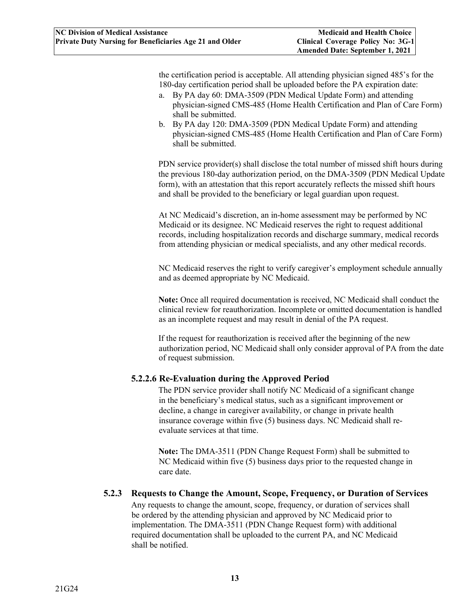the certification period is acceptable. All attending physician signed 485's for the 180-day certification period shall be uploaded before the PA expiration date:

- a. By PA day 60: DMA-3509 (PDN Medical Update Form) and attending physician-signed CMS-485 (Home Health Certification and Plan of Care Form) shall be submitted.
- b. By PA day 120: DMA-3509 (PDN Medical Update Form) and attending physician-signed CMS-485 (Home Health Certification and Plan of Care Form) shall be submitted.

PDN service provider(s) shall disclose the total number of missed shift hours during the previous 180-day authorization period, on the DMA-3509 (PDN Medical Update form), with an attestation that this report accurately reflects the missed shift hours and shall be provided to the beneficiary or legal guardian upon request.

At NC Medicaid's discretion, an in-home assessment may be performed by NC Medicaid or its designee. NC Medicaid reserves the right to request additional records, including hospitalization records and discharge summary, medical records from attending physician or medical specialists, and any other medical records.

NC Medicaid reserves the right to verify caregiver's employment schedule annually and as deemed appropriate by NC Medicaid.

**Note:** Once all required documentation is received, NC Medicaid shall conduct the clinical review for reauthorization. Incomplete or omitted documentation is handled as an incomplete request and may result in denial of the PA request.

If the request for reauthorization is received after the beginning of the new authorization period, NC Medicaid shall only consider approval of PA from the date of request submission.

#### **5.2.2.6 Re-Evaluation during the Approved Period**

The PDN service provider shall notify NC Medicaid of a significant change in the beneficiary's medical status, such as a significant improvement or decline, a change in caregiver availability, or change in private health insurance coverage within five (5) business days. NC Medicaid shall reevaluate services at that time.

**Note:** The DMA-3511 (PDN Change Request Form) shall be submitted to NC Medicaid within five (5) business days prior to the requested change in care date.

#### <span id="page-16-0"></span>**5.2.3 Requests to Change the Amount, Scope, Frequency, or Duration of Services**

Any requests to change the amount, scope, frequency, or duration of services shall be ordered by the attending physician and approved by NC Medicaid prior to implementation. The DMA-3511 (PDN Change Request form) with additional required documentation shall be uploaded to the current PA, and NC Medicaid shall be notified.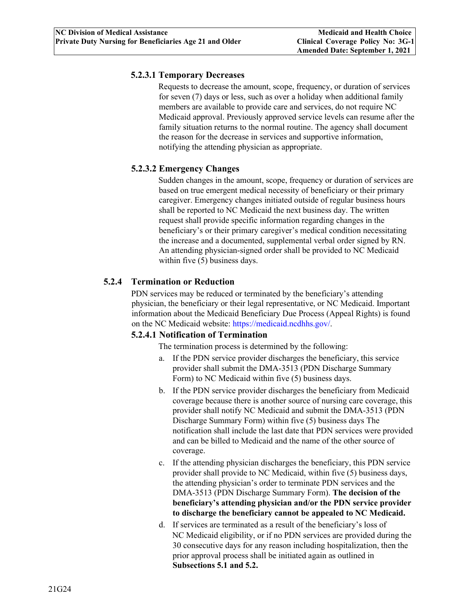#### **5.2.3.1 Temporary Decreases**

Requests to decrease the amount, scope, frequency, or duration of services for seven (7) days or less, such as over a holiday when additional family members are available to provide care and services, do not require NC Medicaid approval. Previously approved service levels can resume after the family situation returns to the normal routine. The agency shall document the reason for the decrease in services and supportive information, notifying the attending physician as appropriate.

## **5.2.3.2 Emergency Changes**

Sudden changes in the amount, scope, frequency or duration of services are based on true emergent medical necessity of beneficiary or their primary caregiver. Emergency changes initiated outside of regular business hours shall be reported to NC Medicaid the next business day. The written request shall provide specific information regarding changes in the beneficiary's or their primary caregiver's medical condition necessitating the increase and a documented, supplemental verbal order signed by RN. An attending physician-signed order shall be provided to NC Medicaid within five (5) business days.

## <span id="page-17-0"></span>**5.2.4 Termination or Reduction**

PDN services may be reduced or terminated by the beneficiary's attending physician, the beneficiary or their legal representative, or NC Medicaid. Important information about the Medicaid Beneficiary Due Process (Appeal Rights) is found on the NC Medicaid website: https://medicaid.ncdhhs.gov[/.](https://dma.ncdhhs.gov/medicaid-beneficiary-due-process-appeal-rights)

#### **5.2.4.1 Notification of Termination**

The termination process is determined by the following:

- a. If the PDN service provider discharges the beneficiary, this service provider shall submit the DMA-3513 (PDN Discharge Summary Form) to NC Medicaid within five (5) business days.
- b. If the PDN service provider discharges the beneficiary from Medicaid coverage because there is another source of nursing care coverage, this provider shall notify NC Medicaid and submit the DMA-3513 (PDN Discharge Summary Form) within five (5) business days The notification shall include the last date that PDN services were provided and can be billed to Medicaid and the name of the other source of coverage.
- c. If the attending physician discharges the beneficiary, this PDN service provider shall provide to NC Medicaid, within five (5) business days, the attending physician's order to terminate PDN services and the DMA-3513 (PDN Discharge Summary Form). **The decision of the beneficiary's attending physician and/or the PDN service provider to discharge the beneficiary cannot be appealed to NC Medicaid.**
- d. If services are terminated as a result of the beneficiary's loss of NC Medicaid eligibility, or if no PDN services are provided during the 30 consecutive days for any reason including hospitalization, then the prior approval process shall be initiated again as outlined in **Subsections 5.1 and 5.2.**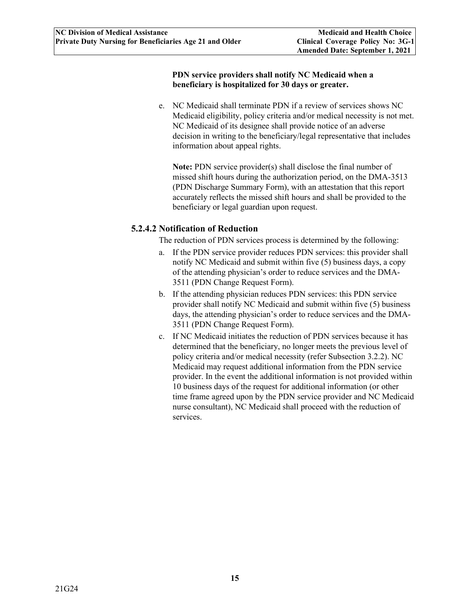#### **PDN service providers shall notify NC Medicaid when a beneficiary is hospitalized for 30 days or greater.**

e. NC Medicaid shall terminate PDN if a review of services shows NC Medicaid eligibility, policy criteria and/or medical necessity is not met. NC Medicaid of its designee shall provide notice of an adverse decision in writing to the beneficiary/legal representative that includes information about appeal rights.

**Note:** PDN service provider(s) shall disclose the final number of missed shift hours during the authorization period, on the DMA-3513 (PDN Discharge Summary Form), with an attestation that this report accurately reflects the missed shift hours and shall be provided to the beneficiary or legal guardian upon request.

#### **5.2.4.2 Notification of Reduction**

The reduction of PDN services process is determined by the following:

- a. If the PDN service provider reduces PDN services: this provider shall notify NC Medicaid and submit within five (5) business days, a copy of the attending physician's order to reduce services and the DMA-3511 (PDN Change Request Form).
- b. If the attending physician reduces PDN services: this PDN service provider shall notify NC Medicaid and submit within five (5) business days, the attending physician's order to reduce services and the DMA-3511 (PDN Change Request Form).
- c. If NC Medicaid initiates the reduction of PDN services because it has determined that the beneficiary, no longer meets the previous level of policy criteria and/or medical necessity (refer Subsection 3.2.2). NC Medicaid may request additional information from the PDN service provider. In the event the additional information is not provided within 10 business days of the request for additional information (or other time frame agreed upon by the PDN service provider and NC Medicaid nurse consultant), NC Medicaid shall proceed with the reduction of services.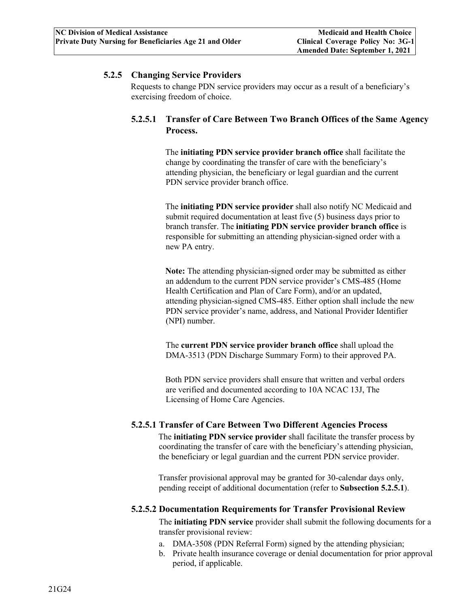#### <span id="page-19-0"></span>**5.2.5 Changing Service Providers**

Requests to change PDN service providers may occur as a result of a beneficiary's exercising freedom of choice.

## **5.2.5.1 Transfer of Care Between Two Branch Offices of the Same Agency Process.**

The **initiating PDN service provider branch office** shall facilitate the change by coordinating the transfer of care with the beneficiary's attending physician, the beneficiary or legal guardian and the current PDN service provider branch office.

The **initiating PDN service provider** shall also notify NC Medicaid and submit required documentation at least five (5) business days prior to branch transfer. The **initiating PDN service provider branch office** is responsible for submitting an attending physician-signed order with a new PA entry.

**Note:** The attending physician-signed order may be submitted as either an addendum to the current PDN service provider's CMS-485 (Home Health Certification and Plan of Care Form), and/or an updated, attending physician-signed CMS-485. Either option shall include the new PDN service provider's name, address, and National Provider Identifier (NPI) number.

The **current PDN service provider branch office** shall upload the DMA-3513 (PDN Discharge Summary Form) to their approved PA.

Both PDN service providers shall ensure that written and verbal orders are verified and documented according to 10A NCAC 13J, The Licensing of Home Care Agencies.

#### **5.2.5.1 Transfer of Care Between Two Different Agencies Process**

The **initiating PDN service provider** shall facilitate the transfer process by coordinating the transfer of care with the beneficiary's attending physician, the beneficiary or legal guardian and the current PDN service provider.

Transfer provisional approval may be granted for 30-calendar days only, pending receipt of additional documentation (refer to **Subsection 5.2.5.1**).

#### **5.2.5.2 Documentation Requirements for Transfer Provisional Review**

The **initiating PDN service** provider shall submit the following documents for a transfer provisional review:

- a. DMA-3508 (PDN Referral Form) signed by the attending physician;
- b. Private health insurance coverage or denial documentation for prior approval period, if applicable.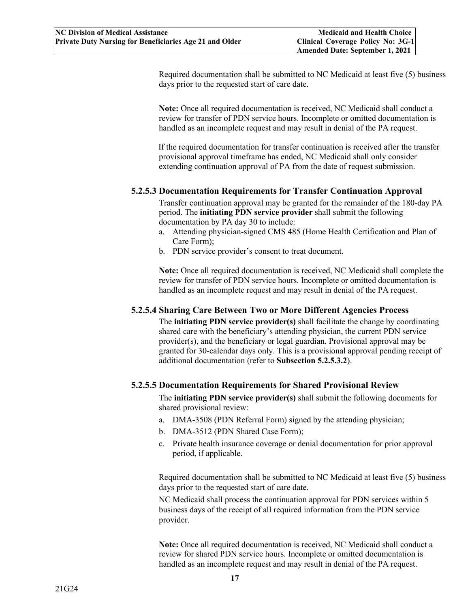Required documentation shall be submitted to NC Medicaid at least five (5) business days prior to the requested start of care date.

**Note:** Once all required documentation is received, NC Medicaid shall conduct a review for transfer of PDN service hours. Incomplete or omitted documentation is handled as an incomplete request and may result in denial of the PA request.

If the required documentation for transfer continuation is received after the transfer provisional approval timeframe has ended, NC Medicaid shall only consider extending continuation approval of PA from the date of request submission.

#### **5.2.5.3 Documentation Requirements for Transfer Continuation Approval**

Transfer continuation approval may be granted for the remainder of the 180-day PA period. The **initiating PDN service provider** shall submit the following documentation by PA day 30 to include:

- a. Attending physician-signed CMS 485 (Home Health Certification and Plan of Care Form);
- b. PDN service provider's consent to treat document.

**Note:** Once all required documentation is received, NC Medicaid shall complete the review for transfer of PDN service hours. Incomplete or omitted documentation is handled as an incomplete request and may result in denial of the PA request.

#### **5.2.5.4 Sharing Care Between Two or More Different Agencies Process**

The **initiating PDN service provider(s)** shall facilitate the change by coordinating shared care with the beneficiary's attending physician, the current PDN service provider(s), and the beneficiary or legal guardian. Provisional approval may be granted for 30-calendar days only. This is a provisional approval pending receipt of additional documentation (refer to **Subsection 5.2.5.3.2**).

#### **5.2.5.5 Documentation Requirements for Shared Provisional Review**

The **initiating PDN service provider(s)** shall submit the following documents for shared provisional review:

- a. DMA-3508 (PDN Referral Form) signed by the attending physician;
- b. DMA-3512 (PDN Shared Case Form);
- c. Private health insurance coverage or denial documentation for prior approval period, if applicable.

Required documentation shall be submitted to NC Medicaid at least five (5) business days prior to the requested start of care date.

NC Medicaid shall process the continuation approval for PDN services within 5 business days of the receipt of all required information from the PDN service provider.

**Note:** Once all required documentation is received, NC Medicaid shall conduct a review for shared PDN service hours. Incomplete or omitted documentation is handled as an incomplete request and may result in denial of the PA request.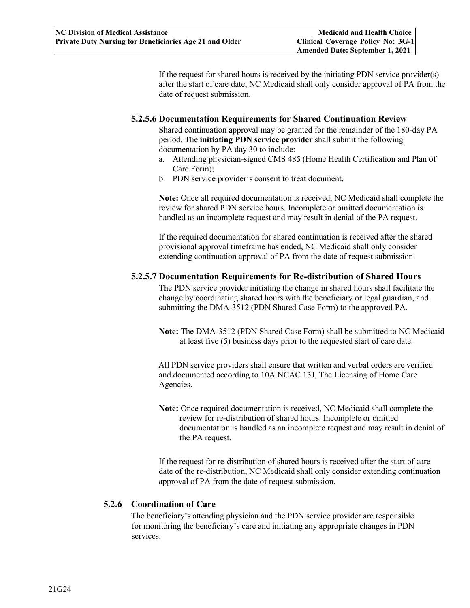If the request for shared hours is received by the initiating PDN service provider(s) after the start of care date, NC Medicaid shall only consider approval of PA from the date of request submission.

#### **5.2.5.6 Documentation Requirements for Shared Continuation Review**

Shared continuation approval may be granted for the remainder of the 180-day PA period. The **initiating PDN service provider** shall submit the following documentation by PA day 30 to include:

- a. Attending physician-signed CMS 485 (Home Health Certification and Plan of Care Form);
- b. PDN service provider's consent to treat document.

**Note:** Once all required documentation is received, NC Medicaid shall complete the review for shared PDN service hours. Incomplete or omitted documentation is handled as an incomplete request and may result in denial of the PA request.

If the required documentation for shared continuation is received after the shared provisional approval timeframe has ended, NC Medicaid shall only consider extending continuation approval of PA from the date of request submission.

#### **5.2.5.7 Documentation Requirements for Re-distribution of Shared Hours**

The PDN service provider initiating the change in shared hours shall facilitate the change by coordinating shared hours with the beneficiary or legal guardian, and submitting the DMA-3512 (PDN Shared Case Form) to the approved PA.

**Note:** The DMA-3512 (PDN Shared Case Form) shall be submitted to NC Medicaid at least five (5) business days prior to the requested start of care date.

All PDN service providers shall ensure that written and verbal orders are verified and documented according to 10A NCAC 13J, The Licensing of Home Care Agencies.

**Note:** Once required documentation is received, NC Medicaid shall complete the review for re-distribution of shared hours. Incomplete or omitted documentation is handled as an incomplete request and may result in denial of the PA request.

If the request for re-distribution of shared hours is received after the start of care date of the re-distribution, NC Medicaid shall only consider extending continuation approval of PA from the date of request submission.

#### <span id="page-21-0"></span>**5.2.6 Coordination of Care**

The beneficiary's attending physician and the PDN service provider are responsible for monitoring the beneficiary's care and initiating any appropriate changes in PDN services.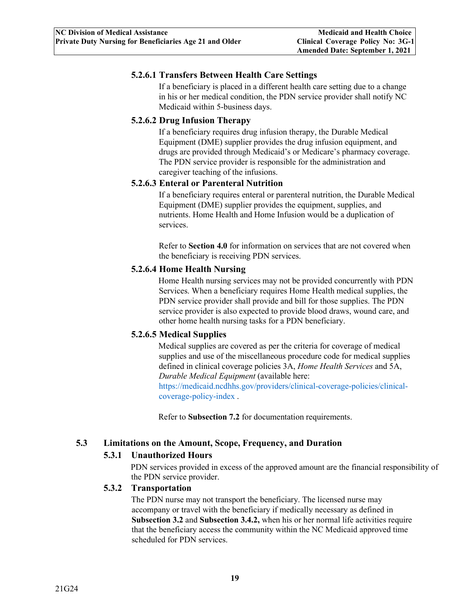### **5.2.6.1 Transfers Between Health Care Settings**

If a beneficiary is placed in a different health care setting due to a change in his or her medical condition, the PDN service provider shall notify NC Medicaid within 5-business days.

#### **5.2.6.2 Drug Infusion Therapy**

If a beneficiary requires drug infusion therapy, the Durable Medical Equipment (DME) supplier provides the drug infusion equipment, and drugs are provided through Medicaid's or Medicare's pharmacy coverage. The PDN service provider is responsible for the administration and caregiver teaching of the infusions.

#### **5.2.6.3 Enteral or Parenteral Nutrition**

If a beneficiary requires enteral or parenteral nutrition, the Durable Medical Equipment (DME) supplier provides the equipment, supplies, and nutrients. Home Health and Home Infusion would be a duplication of services.

Refer to **Section 4.0** for information on services that are not covered when the beneficiary is receiving PDN services.

## **5.2.6.4 Home Health Nursing**

Home Health nursing services may not be provided concurrently with PDN Services. When a beneficiary requires Home Health medical supplies, the PDN service provider shall provide and bill for those supplies. The PDN service provider is also expected to provide blood draws, wound care, and other home health nursing tasks for a PDN beneficiary.

## **5.2.6.5 Medical Supplies**

Medical supplies are covered as per the criteria for coverage of medical supplies and use of the miscellaneous procedure code for medical supplies defined in clinical coverage policies 3A, *Home Health Services* and 5A, *Durable Medical Equipment* (available here:

[https://medicaid.ncdhhs.gov/providers/clinical-coverage-policies/clinical](https://medicaid.ncdhhs.gov/providers/clinical-coverage-policies/clinical-coverage-policy-index)[coverage-policy-index](https://medicaid.ncdhhs.gov/providers/clinical-coverage-policies/clinical-coverage-policy-index) .

Refer to **Subsection 7.2** for documentation requirements.

#### <span id="page-22-2"></span><span id="page-22-1"></span><span id="page-22-0"></span>**5.3 Limitations on the Amount, Scope, Frequency, and Duration**

#### **5.3.1 Unauthorized Hours**

PDN services provided in excess of the approved amount are the financial responsibility of the PDN service provider.

#### **5.3.2 Transportation**

The PDN nurse may not transport the beneficiary. The licensed nurse may accompany or travel with the beneficiary if medically necessary as defined in **Subsection 3.2** and **Subsection 3.4.2,** when his or her normal life activities require that the beneficiary access the community within the NC Medicaid approved time scheduled for PDN services.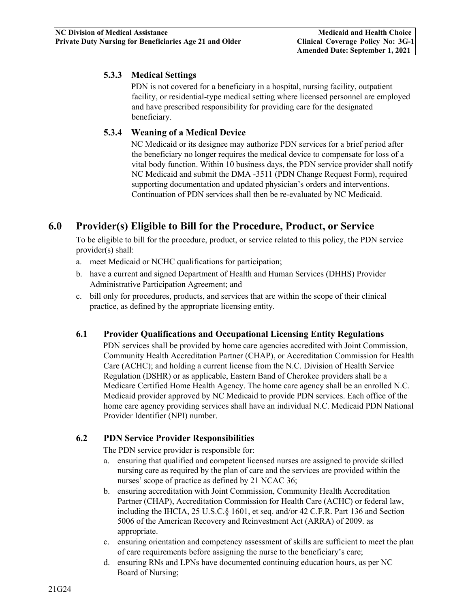### <span id="page-23-0"></span>**5.3.3 Medical Settings**

PDN is not covered for a beneficiary in a hospital, nursing facility, outpatient facility, or residential-type medical setting where licensed personnel are employed and have prescribed responsibility for providing care for the designated beneficiary.

#### <span id="page-23-1"></span>**5.3.4 Weaning of a Medical Device**

NC Medicaid or its designee may authorize PDN services for a brief period after the beneficiary no longer requires the medical device to compensate for loss of a vital body function. Within 10 business days, the PDN service provider shall notify NC Medicaid and submit the DMA -3511 (PDN Change Request Form), required supporting documentation and updated physician's orders and interventions. Continuation of PDN services shall then be re-evaluated by NC Medicaid.

## <span id="page-23-2"></span>**6.0 Provider(s) Eligible to Bill for the Procedure, Product, or Service**

To be eligible to bill for the procedure, product, or service related to this policy, the PDN service provider(s) shall:

- a. meet Medicaid or NCHC qualifications for participation;
- b. have a current and signed Department of Health and Human Services (DHHS) Provider Administrative Participation Agreement; and
- c. bill only for procedures, products, and services that are within the scope of their clinical practice, as defined by the appropriate licensing entity.

#### <span id="page-23-3"></span>**6.1 Provider Qualifications and Occupational Licensing Entity Regulations**

PDN services shall be provided by home care agencies accredited with Joint Commission, Community Health Accreditation Partner (CHAP), or Accreditation Commission for Health Care (ACHC); and holding a current license from the N.C. Division of Health Service Regulation (DSHR) or as applicable, Eastern Band of Cherokee providers shall be a Medicare Certified Home Health Agency. The home care agency shall be an enrolled N.C. Medicaid provider approved by NC Medicaid to provide PDN services. Each office of the home care agency providing services shall have an individual N.C. Medicaid PDN National Provider Identifier (NPI) number.

#### <span id="page-23-4"></span>**6.2 PDN Service Provider Responsibilities**

The PDN service provider is responsible for:

- a. ensuring that qualified and competent licensed nurses are assigned to provide skilled nursing care as required by the plan of care and the services are provided within the nurses' scope of practice as defined by 21 NCAC 36;
- b. ensuring accreditation with Joint Commission, Community Health Accreditation Partner (CHAP), Accreditation Commission for Health Care (ACHC) or federal law, including the IHCIA, 25 U.S.C.§ 1601, et seq. and/or 42 C.F.R. Part 136 and Section 5006 of the American Recovery and Reinvestment Act (ARRA) of 2009. as appropriate.
- c. ensuring orientation and competency assessment of skills are sufficient to meet the plan of care requirements before assigning the nurse to the beneficiary's care;
- d. ensuring RNs and LPNs have documented continuing education hours, as per NC Board of Nursing;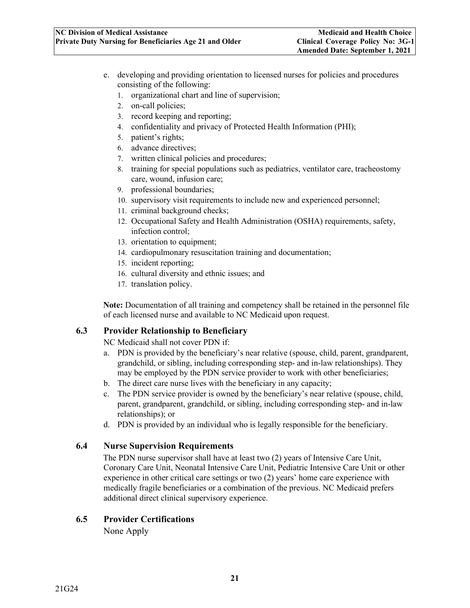- e. developing and providing orientation to licensed nurses for policies and procedures consisting of the following:
	- 1. organizational chart and line of supervision;
	- 2. on-call policies;
	- 3. record keeping and reporting;
	- 4. confidentiality and privacy of Protected Health Information (PHI);
	- 5. patient's rights;
	- 6. advance directives;
	- 7. written clinical policies and procedures;
	- 8. training for special populations such as pediatrics, ventilator care, tracheostomy care, wound, infusion care;
	- 9. professional boundaries;
	- 10. supervisory visit requirements to include new and experienced personnel;
	- 11. criminal background checks;
	- 12. Occupational Safety and Health Administration (OSHA) requirements, safety, infection control;
	- 13. orientation to equipment;
	- 14. cardiopulmonary resuscitation training and documentation;
	- 15. incident reporting;
	- 16. cultural diversity and ethnic issues; and
	- 17. translation policy.

**Note:** Documentation of all training and competency shall be retained in the personnel file of each licensed nurse and available to NC Medicaid upon request.

#### <span id="page-24-0"></span>**6.3 Provider Relationship to Beneficiary**

NC Medicaid shall not cover PDN if:

- a. PDN is provided by the beneficiary's near relative (spouse, child, parent, grandparent, grandchild, or sibling, including corresponding step- and in-law relationships). They may be employed by the PDN service provider to work with other beneficiaries;
- b. The direct care nurse lives with the beneficiary in any capacity;
- c. The PDN service provider is owned by the beneficiary's near relative (spouse, child, parent, grandparent, grandchild, or sibling, including corresponding step- and in-law relationships); or
- d. PDN is provided by an individual who is legally responsible for the beneficiary.

#### <span id="page-24-1"></span>**6.4 Nurse Supervision Requirements**

The PDN nurse supervisor shall have at least two (2) years of Intensive Care Unit, Coronary Care Unit, Neonatal Intensive Care Unit, Pediatric Intensive Care Unit or other experience in other critical care settings or two (2) years' home care experience with medically fragile beneficiaries or a combination of the previous. NC Medicaid prefers additional direct clinical supervisory experience.

#### <span id="page-24-3"></span><span id="page-24-2"></span>**6.5 Provider Certifications**

None Apply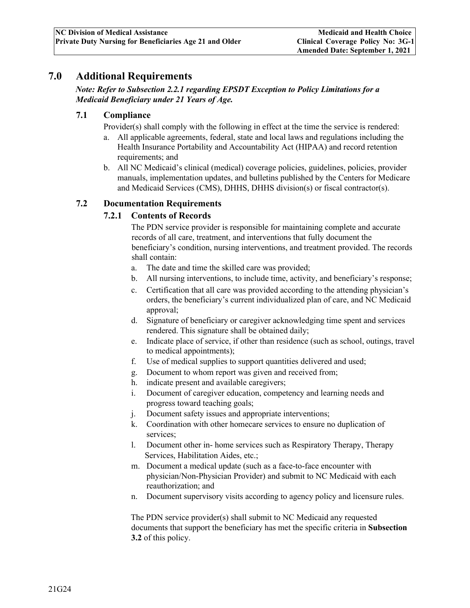## <span id="page-25-0"></span>**7.0 Additional Requirements**

*Note: Refer to Subsection 2.2.1 regarding EPSDT Exception to Policy Limitations for a Medicaid Beneficiary under 21 Years of Age.* 

#### <span id="page-25-1"></span>**7.1 Compliance**

Provider(s) shall comply with the following in effect at the time the service is rendered:

- a. All applicable agreements, federal, state and local laws and regulations including the Health Insurance Portability and Accountability Act (HIPAA) and record retention requirements; and
- b. All NC Medicaid's clinical (medical) coverage policies, guidelines, policies, provider manuals, implementation updates, and bulletins published by the Centers for Medicare and Medicaid Services (CMS), DHHS, DHHS division(s) or fiscal contractor(s).

#### <span id="page-25-3"></span><span id="page-25-2"></span>**7.2 Documentation Requirements**

#### **7.2.1 Contents of Records**

The PDN service provider is responsible for maintaining complete and accurate records of all care, treatment, and interventions that fully document the beneficiary's condition, nursing interventions, and treatment provided. The records shall contain:

- a. The date and time the skilled care was provided;
- b. All nursing interventions, to include time, activity, and beneficiary's response;
- c. Certification that all care was provided according to the attending physician's orders, the beneficiary's current individualized plan of care, and NC Medicaid approval;
- d. Signature of beneficiary or caregiver acknowledging time spent and services rendered. This signature shall be obtained daily;
- e. Indicate place of service, if other than residence (such as school, outings, travel to medical appointments);
- f. Use of medical supplies to support quantities delivered and used;
- g. Document to whom report was given and received from;
- h. indicate present and available caregivers;
- i. Document of caregiver education, competency and learning needs and progress toward teaching goals;
- j. Document safety issues and appropriate interventions;
- k. Coordination with other homecare services to ensure no duplication of services;
- l. Document other in- home services such as Respiratory Therapy, Therapy Services, Habilitation Aides, etc.;
- m. Document a medical update (such as a face-to-face encounter with physician/Non-Physician Provider) and submit to NC Medicaid with each reauthorization; and
- n. Document supervisory visits according to agency policy and licensure rules.

The PDN service provider(s) shall submit to NC Medicaid any requested documents that support the beneficiary has met the specific criteria in **Subsection 3.2** of this policy.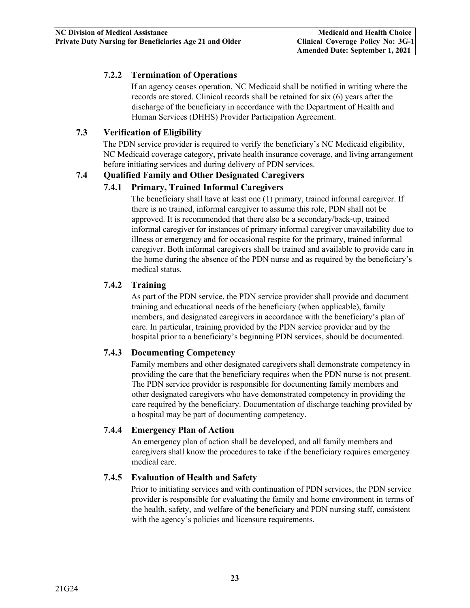## <span id="page-26-0"></span>**7.2.2 Termination of Operations**

If an agency ceases operation, NC Medicaid shall be notified in writing where the records are stored. Clinical records shall be retained for six (6) years after the discharge of the beneficiary in accordance with the Department of Health and Human Services (DHHS) Provider Participation Agreement.

## <span id="page-26-1"></span>**7.3 Verification of Eligibility**

The PDN service provider is required to verify the beneficiary's NC Medicaid eligibility, NC Medicaid coverage category, private health insurance coverage, and living arrangement before initiating services and during delivery of PDN services.

#### <span id="page-26-3"></span><span id="page-26-2"></span>**7.4 Qualified Family and Other Designated Caregivers**

#### **7.4.1 Primary, Trained Informal Caregivers**

The beneficiary shall have at least one (1) primary, trained informal caregiver. If there is no trained, informal caregiver to assume this role, PDN shall not be approved. It is recommended that there also be a secondary/back-up, trained informal caregiver for instances of primary informal caregiver unavailability due to illness or emergency and for occasional respite for the primary, trained informal caregiver. Both informal caregivers shall be trained and available to provide care in the home during the absence of the PDN nurse and as required by the beneficiary's medical status.

#### <span id="page-26-4"></span>**7.4.2 Training**

As part of the PDN service, the PDN service provider shall provide and document training and educational needs of the beneficiary (when applicable), family members, and designated caregivers in accordance with the beneficiary's plan of care. In particular, training provided by the PDN service provider and by the hospital prior to a beneficiary's beginning PDN services, should be documented.

#### <span id="page-26-5"></span>**7.4.3 Documenting Competency**

Family members and other designated caregivers shall demonstrate competency in providing the care that the beneficiary requires when the PDN nurse is not present. The PDN service provider is responsible for documenting family members and other designated caregivers who have demonstrated competency in providing the care required by the beneficiary. Documentation of discharge teaching provided by a hospital may be part of documenting competency.

#### <span id="page-26-6"></span>**7.4.4 Emergency Plan of Action**

An emergency plan of action shall be developed, and all family members and caregivers shall know the procedures to take if the beneficiary requires emergency medical care.

#### <span id="page-26-7"></span>**7.4.5 Evaluation of Health and Safety**

Prior to initiating services and with continuation of PDN services, the PDN service provider is responsible for evaluating the family and home environment in terms of the health, safety, and welfare of the beneficiary and PDN nursing staff, consistent with the agency's policies and licensure requirements.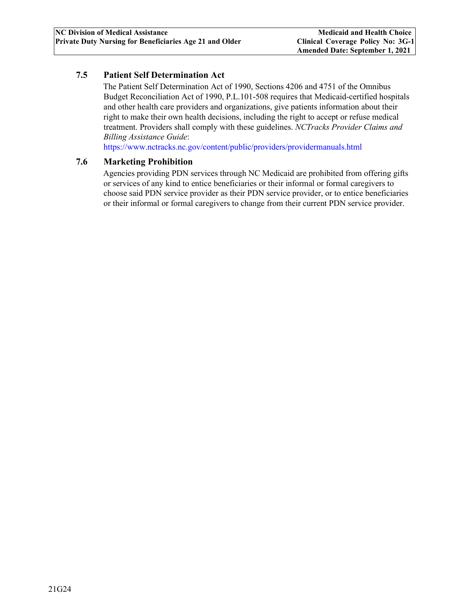#### <span id="page-27-0"></span>**7.5 Patient Self Determination Act**

The Patient Self Determination Act of 1990, Sections 4206 and 4751 of the Omnibus Budget Reconciliation Act of 1990, P.L.101-508 requires that Medicaid-certified hospitals and other health care providers and organizations, give patients information about their right to make their own health decisions, including the right to accept or refuse medical treatment. Providers shall comply with these guidelines. *NCTracks Provider Claims and Billing Assistance Guide*:

[https://www.nctracks.nc.gov/content/public/providers/providermanuals.html](https://www.nctracks.nc.gov/content/public/providers/provider-manuals.html)

#### <span id="page-27-1"></span>**7.6 Marketing Prohibition**

Agencies providing PDN services through NC Medicaid are prohibited from offering gifts or services of any kind to entice beneficiaries or their informal or formal caregivers to choose said PDN service provider as their PDN service provider, or to entice beneficiaries or their informal or formal caregivers to change from their current PDN service provider.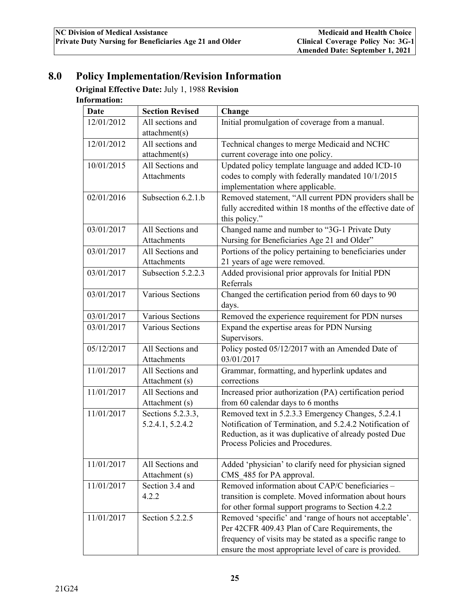# <span id="page-28-0"></span>**8.0 Policy Implementation/Revision Information**

**Original Effective Date:** July 1, 1988 **Revision** 

## **Information:**

| Date       | <b>Section Revised</b> | Change                                                                                                             |
|------------|------------------------|--------------------------------------------------------------------------------------------------------------------|
| 12/01/2012 | All sections and       | Initial promulgation of coverage from a manual.                                                                    |
|            | attachment(s)          |                                                                                                                    |
| 12/01/2012 | All sections and       | Technical changes to merge Medicaid and NCHC                                                                       |
|            | attachment(s)          | current coverage into one policy.                                                                                  |
| 10/01/2015 | All Sections and       | Updated policy template language and added ICD-10                                                                  |
|            | <b>Attachments</b>     | codes to comply with federally mandated 10/1/2015                                                                  |
|            |                        | implementation where applicable.                                                                                   |
| 02/01/2016 | Subsection 6.2.1.b     | Removed statement, "All current PDN providers shall be                                                             |
|            |                        | fully accredited within 18 months of the effective date of<br>this policy."                                        |
| 03/01/2017 | All Sections and       | Changed name and number to "3G-1 Private Duty                                                                      |
|            | Attachments            | Nursing for Beneficiaries Age 21 and Older"                                                                        |
| 03/01/2017 | All Sections and       | Portions of the policy pertaining to beneficiaries under                                                           |
|            | Attachments            | 21 years of age were removed.                                                                                      |
| 03/01/2017 | Subsection 5.2.2.3     | Added provisional prior approvals for Initial PDN                                                                  |
|            |                        | Referrals                                                                                                          |
| 03/01/2017 | Various Sections       | Changed the certification period from 60 days to 90<br>days.                                                       |
| 03/01/2017 | Various Sections       | Removed the experience requirement for PDN nurses                                                                  |
| 03/01/2017 | Various Sections       | Expand the expertise areas for PDN Nursing                                                                         |
|            |                        | Supervisors.                                                                                                       |
| 05/12/2017 | All Sections and       | Policy posted 05/12/2017 with an Amended Date of                                                                   |
|            | Attachments            | 03/01/2017                                                                                                         |
| 11/01/2017 | All Sections and       | Grammar, formatting, and hyperlink updates and                                                                     |
|            | Attachment (s)         | corrections                                                                                                        |
| 11/01/2017 | All Sections and       | Increased prior authorization (PA) certification period                                                            |
|            | Attachment (s)         | from 60 calendar days to 6 months                                                                                  |
| 11/01/2017 | Sections 5.2.3.3,      | Removed text in 5.2.3.3 Emergency Changes, 5.2.4.1                                                                 |
|            | 5.2.4.1, 5.2.4.2       | Notification of Termination, and 5.2.4.2 Notification of<br>Reduction, as it was duplicative of already posted Due |
|            |                        | Process Policies and Procedures.                                                                                   |
|            |                        |                                                                                                                    |
| 11/01/2017 | All Sections and       | Added 'physician' to clarify need for physician signed                                                             |
|            | Attachment (s)         | CMS 485 for PA approval.                                                                                           |
| 11/01/2017 | Section 3.4 and        | Removed information about CAP/C beneficiaries -                                                                    |
|            | 4.2.2                  | transition is complete. Moved information about hours                                                              |
|            |                        | for other formal support programs to Section 4.2.2                                                                 |
| 11/01/2017 | Section 5.2.2.5        | Removed 'specific' and 'range of hours not acceptable'.                                                            |
|            |                        | Per 42CFR 409.43 Plan of Care Requirements, the                                                                    |
|            |                        | frequency of visits may be stated as a specific range to                                                           |
|            |                        | ensure the most appropriate level of care is provided.                                                             |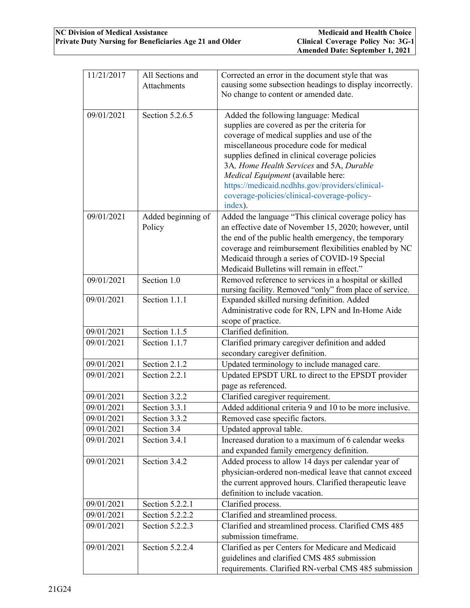| 11/21/2017 | All Sections and<br><b>Attachments</b> | Corrected an error in the document style that was<br>causing some subsection headings to display incorrectly.                                                                                                                                                                                                                                                                                                                     |
|------------|----------------------------------------|-----------------------------------------------------------------------------------------------------------------------------------------------------------------------------------------------------------------------------------------------------------------------------------------------------------------------------------------------------------------------------------------------------------------------------------|
|            |                                        | No change to content or amended date.                                                                                                                                                                                                                                                                                                                                                                                             |
| 09/01/2021 | Section $5.2.6.5$                      | Added the following language: Medical<br>supplies are covered as per the criteria for<br>coverage of medical supplies and use of the<br>miscellaneous procedure code for medical<br>supplies defined in clinical coverage policies<br>3A, Home Health Services and 5A, Durable<br>Medical Equipment (available here:<br>https://medicaid.ncdhhs.gov/providers/clinical-<br>coverage-policies/clinical-coverage-policy-<br>index). |
| 09/01/2021 | Added beginning of<br>Policy           | Added the language "This clinical coverage policy has<br>an effective date of November 15, 2020; however, until<br>the end of the public health emergency, the temporary<br>coverage and reimbursement flexibilities enabled by NC<br>Medicaid through a series of COVID-19 Special<br>Medicaid Bulletins will remain in effect."                                                                                                 |
| 09/01/2021 | Section 1.0                            | Removed reference to services in a hospital or skilled<br>nursing facility. Removed "only" from place of service.                                                                                                                                                                                                                                                                                                                 |
| 09/01/2021 | Section 1.1.1                          | Expanded skilled nursing definition. Added<br>Administrative code for RN, LPN and In-Home Aide<br>scope of practice.                                                                                                                                                                                                                                                                                                              |
| 09/01/2021 | Section 1.1.5                          | Clarified definition.                                                                                                                                                                                                                                                                                                                                                                                                             |
| 09/01/2021 | Section 1.1.7                          | Clarified primary caregiver definition and added<br>secondary caregiver definition.                                                                                                                                                                                                                                                                                                                                               |
| 09/01/2021 | Section 2.1.2                          | Updated terminology to include managed care.                                                                                                                                                                                                                                                                                                                                                                                      |
| 09/01/2021 | Section 2.2.1                          | Updated EPSDT URL to direct to the EPSDT provider<br>page as referenced.                                                                                                                                                                                                                                                                                                                                                          |
| 09/01/2021 | Section 3.2.2                          | Clarified caregiver requirement.                                                                                                                                                                                                                                                                                                                                                                                                  |
| 09/01/2021 | Section 3.3.1                          | Added additional criteria 9 and 10 to be more inclusive.                                                                                                                                                                                                                                                                                                                                                                          |
| 09/01/2021 | Section 3.3.2                          | Removed case specific factors.                                                                                                                                                                                                                                                                                                                                                                                                    |
| 09/01/2021 | Section 3.4                            | Updated approval table.                                                                                                                                                                                                                                                                                                                                                                                                           |
| 09/01/2021 | Section 3.4.1                          | Increased duration to a maximum of 6 calendar weeks<br>and expanded family emergency definition.                                                                                                                                                                                                                                                                                                                                  |
| 09/01/2021 | Section 3.4.2                          | Added process to allow 14 days per calendar year of<br>physician-ordered non-medical leave that cannot exceed<br>the current approved hours. Clarified therapeutic leave<br>definition to include vacation.                                                                                                                                                                                                                       |
| 09/01/2021 | Section 5.2.2.1                        | Clarified process.                                                                                                                                                                                                                                                                                                                                                                                                                |
| 09/01/2021 | Section 5.2.2.2                        | Clarified and streamlined process.                                                                                                                                                                                                                                                                                                                                                                                                |
| 09/01/2021 | Section 5.2.2.3                        | Clarified and streamlined process. Clarified CMS 485<br>submission timeframe.                                                                                                                                                                                                                                                                                                                                                     |
| 09/01/2021 | Section 5.2.2.4                        | Clarified as per Centers for Medicare and Medicaid<br>guidelines and clarified CMS 485 submission<br>requirements. Clarified RN-verbal CMS 485 submission                                                                                                                                                                                                                                                                         |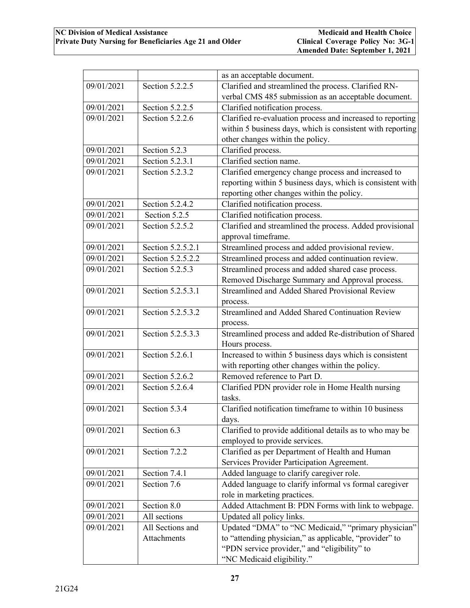|            |                   | as an acceptable document.                                 |
|------------|-------------------|------------------------------------------------------------|
| 09/01/2021 | Section 5.2.2.5   | Clarified and streamlined the process. Clarified RN-       |
|            |                   | verbal CMS 485 submission as an acceptable document.       |
| 09/01/2021 | Section 5.2.2.5   | Clarified notification process.                            |
| 09/01/2021 | Section 5.2.2.6   | Clarified re-evaluation process and increased to reporting |
|            |                   | within 5 business days, which is consistent with reporting |
|            |                   | other changes within the policy.                           |
| 09/01/2021 | Section 5.2.3     | Clarified process.                                         |
| 09/01/2021 | Section 5.2.3.1   | Clarified section name.                                    |
| 09/01/2021 | Section 5.2.3.2   | Clarified emergency change process and increased to        |
|            |                   | reporting within 5 business days, which is consistent with |
|            |                   | reporting other changes within the policy.                 |
| 09/01/2021 | Section 5.2.4.2   | Clarified notification process.                            |
| 09/01/2021 | Section 5.2.5     | Clarified notification process.                            |
| 09/01/2021 | Section 5.2.5.2   | Clarified and streamlined the process. Added provisional   |
|            |                   | approval timeframe.                                        |
| 09/01/2021 | Section 5.2.5.2.1 | Streamlined process and added provisional review.          |
| 09/01/2021 | Section 5.2.5.2.2 | Streamlined process and added continuation review.         |
| 09/01/2021 | Section 5.2.5.3   | Streamlined process and added shared case process.         |
|            |                   | Removed Discharge Summary and Approval process.            |
| 09/01/2021 | Section 5.2.5.3.1 | Streamlined and Added Shared Provisional Review            |
|            |                   | process.                                                   |
| 09/01/2021 | Section 5.2.5.3.2 | Streamlined and Added Shared Continuation Review           |
|            |                   | process.                                                   |
| 09/01/2021 | Section 5.2.5.3.3 | Streamlined process and added Re-distribution of Shared    |
|            |                   | Hours process.                                             |
| 09/01/2021 | Section 5.2.6.1   | Increased to within 5 business days which is consistent    |
|            |                   | with reporting other changes within the policy.            |
| 09/01/2021 | Section 5.2.6.2   | Removed reference to Part D.                               |
| 09/01/2021 | Section 5.2.6.4   | Clarified PDN provider role in Home Health nursing         |
|            |                   | tasks.                                                     |
| 09/01/2021 | Section 5.3.4     | Clarified notification timeframe to within 10 business     |
|            |                   | days.                                                      |
| 09/01/2021 | Section 6.3       | Clarified to provide additional details as to who may be   |
|            |                   | employed to provide services.                              |
| 09/01/2021 | Section 7.2.2     | Clarified as per Department of Health and Human            |
|            |                   | Services Provider Participation Agreement.                 |
| 09/01/2021 | Section 7.4.1     | Added language to clarify caregiver role.                  |
| 09/01/2021 | Section 7.6       | Added language to clarify informal vs formal caregiver     |
|            |                   | role in marketing practices.                               |
| 09/01/2021 | Section 8.0       | Added Attachment B: PDN Forms with link to webpage.        |
| 09/01/2021 | All sections      | Updated all policy links.                                  |
| 09/01/2021 | All Sections and  | Updated "DMA" to "NC Medicaid," "primary physician"        |
|            | Attachments       | to "attending physician," as applicable, "provider" to     |
|            |                   | "PDN service provider," and "eligibility" to               |
|            |                   | "NC Medicaid eligibility."                                 |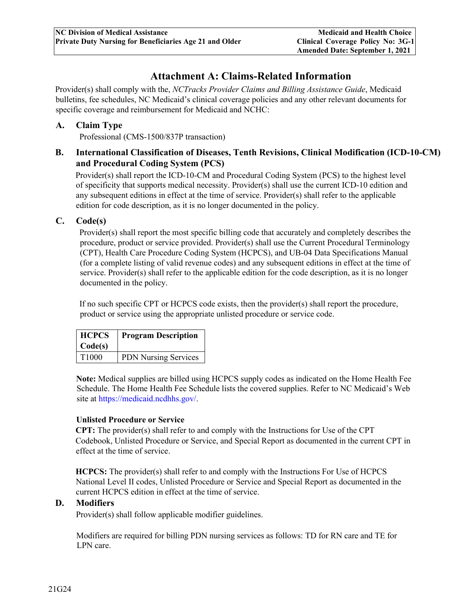## **Attachment A: Claims-Related Information**

<span id="page-31-0"></span>Provider(s) shall comply with the, *NCTracks Provider Claims and Billing Assistance Guide*, Medicaid bulletins, fee schedules, NC Medicaid's clinical coverage policies and any other relevant documents for specific coverage and reimbursement for Medicaid and NCHC:

#### <span id="page-31-1"></span>**A. Claim Type**

Professional (CMS-1500/837P transaction)

### <span id="page-31-2"></span>**B. International Classification of Diseases, Tenth Revisions, Clinical Modification (ICD-10-CM) and Procedural Coding System (PCS)**

Provider(s) shall report the ICD-10-CM and Procedural Coding System (PCS) to the highest level of specificity that supports medical necessity. Provider(s) shall use the current ICD-10 edition and any subsequent editions in effect at the time of service. Provider(s) shall refer to the applicable edition for code description, as it is no longer documented in the policy.

#### <span id="page-31-3"></span>**C. Code(s)**

Provider(s) shall report the most specific billing code that accurately and completely describes the procedure, product or service provided. Provider(s) shall use the Current Procedural Terminology (CPT), Health Care Procedure Coding System (HCPCS), and UB-04 Data Specifications Manual (for a complete listing of valid revenue codes) and any subsequent editions in effect at the time of service. Provider(s) shall refer to the applicable edition for the code description, as it is no longer documented in the policy.

If no such specific CPT or HCPCS code exists, then the provider(s) shall report the procedure, product or service using the appropriate unlisted procedure or service code.

| <b>HCPCS</b>      | <b>Program Description</b>  |
|-------------------|-----------------------------|
| Code(s)           |                             |
| T <sub>1000</sub> | <b>PDN Nursing Services</b> |

**Note:** Medical supplies are billed using HCPCS supply codes as indicated on the Home Health Fee Schedule. The Home Health Fee Schedule lists the covered supplies. Refer to NC Medicaid's Web site at https://medicaid.ncdhhs.gov[/.](http://dma.ncdhhs.gov/)

#### **Unlisted Procedure or Service**

**CPT:** The provider(s) shall refer to and comply with the Instructions for Use of the CPT Codebook, Unlisted Procedure or Service, and Special Report as documented in the current CPT in effect at the time of service.

**HCPCS:** The provider(s) shall refer to and comply with the Instructions For Use of HCPCS National Level II codes, Unlisted Procedure or Service and Special Report as documented in the current HCPCS edition in effect at the time of service.

#### <span id="page-31-4"></span>**D. Modifiers**

Provider(s) shall follow applicable modifier guidelines.

Modifiers are required for billing PDN nursing services as follows: TD for RN care and TE for LPN care.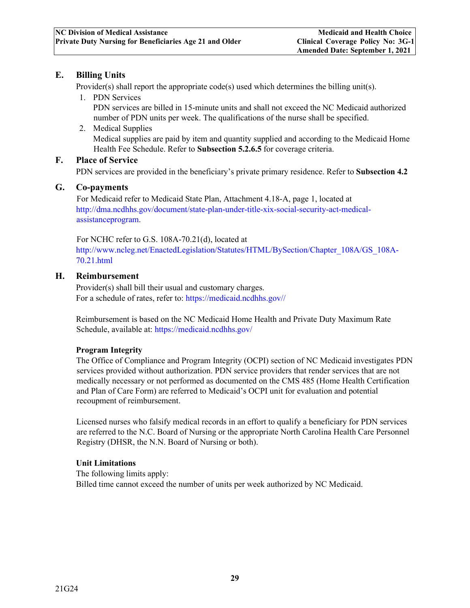### <span id="page-32-0"></span>**E. Billing Units**

Provider(s) shall report the appropriate code(s) used which determines the billing unit(s).

1. PDN Services

PDN services are billed in 15-minute units and shall not exceed the NC Medicaid authorized number of PDN units per week. The qualifications of the nurse shall be specified.

2. Medical Supplies Medical supplies are paid by item and quantity supplied and according to the Medicaid Home Health Fee Schedule. Refer to **Subsection 5.2.6.5** for coverage criteria.

#### <span id="page-32-1"></span>**F. Place of Service**

PDN services are provided in the beneficiary's private primary residence. Refer to **Subsection 4.2**

#### <span id="page-32-2"></span>**G. Co-payments**

For Medicaid refer to Medicaid State Plan, Attachment 4.18-A, page 1, located at [http://dma.ncdhhs.gov/document/state-plan-under-title-xix-social-security-act-medical](http://dma.ncdhhs.gov/document/state-plan-under-title-xix-social-security-act-medical-assistance-program)[assistanceprogram.](http://dma.ncdhhs.gov/document/state-plan-under-title-xix-social-security-act-medical-assistance-program)

For NCHC refer to G.S. 108A-70.21(d), located at [http://www.ncleg.net/EnactedLegislation/Statutes/HTML/BySection/Chapter\\_108A/GS\\_108A-](http://www.ncleg.net/EnactedLegislation/Statutes/HTML/BySection/Chapter_108A/GS_108A-70.21.html)[70.21.html](http://www.ncleg.net/EnactedLegislation/Statutes/HTML/BySection/Chapter_108A/GS_108A-70.21.html)

#### <span id="page-32-3"></span>**H. Reimbursement**

Provider(s) shall bill their usual and customary charges. For a schedule of rates, refer to: [https://medicaid.ncdhhs.gov//](https://medicaid.ncdhhs.gov/)

Reimbursement is based on the NC Medicaid Home Health and Private Duty Maximum Rate Schedule, available at: https://medicaid.ncdhhs.gov/

#### **Program Integrity**

The Office of Compliance and Program Integrity (OCPI) section of NC Medicaid investigates PDN services provided without authorization. PDN service providers that render services that are not medically necessary or not performed as documented on the CMS 485 (Home Health Certification and Plan of Care Form) are referred to Medicaid's OCPI unit for evaluation and potential recoupment of reimbursement.

Licensed nurses who falsify medical records in an effort to qualify a beneficiary for PDN services are referred to the N.C. Board of Nursing or the appropriate North Carolina Health Care Personnel Registry (DHSR, the N.N. Board of Nursing or both).

#### **Unit Limitations**

The following limits apply: Billed time cannot exceed the number of units per week authorized by NC Medicaid.